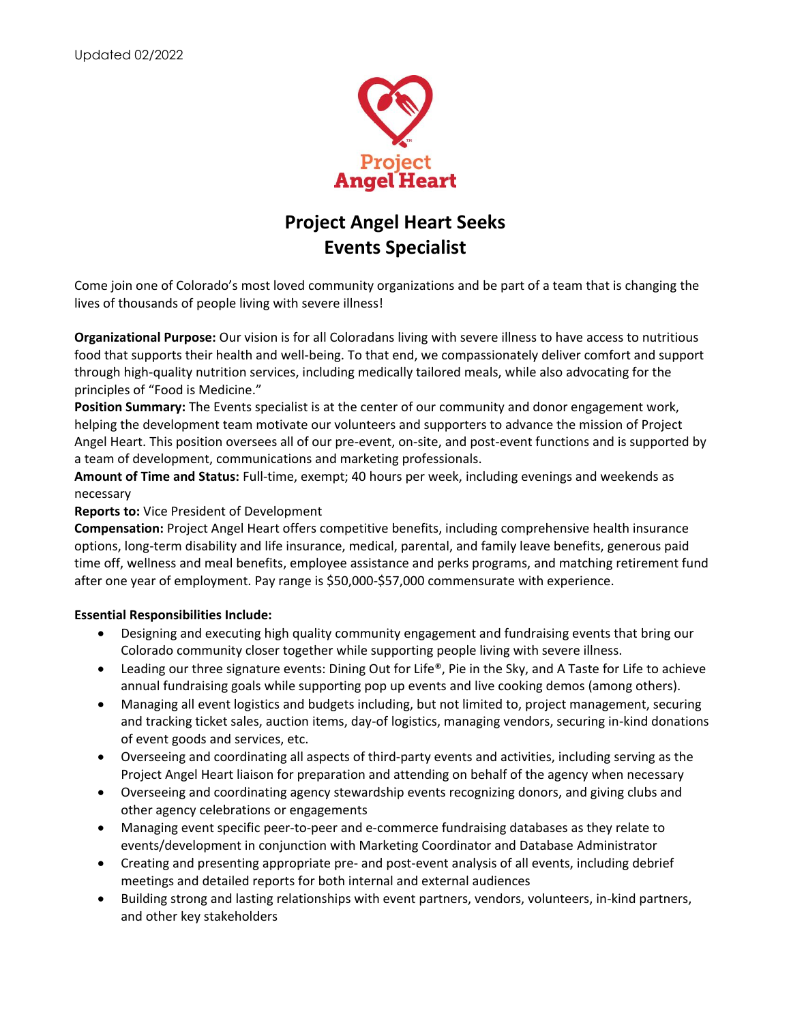

# **Project Angel Heart Seeks Events Specialist**

Come join one of Colorado's most loved community organizations and be part of a team that is changing the lives of thousands of people living with severe illness!

**Organizational Purpose:** Our vision is for all Coloradans living with severe illness to have access to nutritious food that supports their health and well-being. To that end, we compassionately deliver comfort and support through high-quality nutrition services, including medically tailored meals, while also advocating for the principles of "Food is Medicine."

**Position Summary:** The Events specialist is at the center of our community and donor engagement work, helping the development team motivate our volunteers and supporters to advance the mission of Project Angel Heart. This position oversees all of our pre-event, on-site, and post-event functions and is supported by a team of development, communications and marketing professionals.

**Amount of Time and Status:** Full-time, exempt; 40 hours per week, including evenings and weekends as necessary

## **Reports to:** Vice President of Development

**Compensation:** Project Angel Heart offers competitive benefits, including comprehensive health insurance options, long-term disability and life insurance, medical, parental, and family leave benefits, generous paid time off, wellness and meal benefits, employee assistance and perks programs, and matching retirement fund after one year of employment. Pay range is \$50,000-\$57,000 commensurate with experience.

## **Essential Responsibilities Include:**

- Designing and executing high quality community engagement and fundraising events that bring our Colorado community closer together while supporting people living with severe illness.
- Leading our three signature events: Dining Out for Life®, Pie in the Sky, and A Taste for Life to achieve annual fundraising goals while supporting pop up events and live cooking demos (among others).
- Managing all event logistics and budgets including, but not limited to, project management, securing and tracking ticket sales, auction items, day-of logistics, managing vendors, securing in-kind donations of event goods and services, etc.
- Overseeing and coordinating all aspects of third-party events and activities, including serving as the Project Angel Heart liaison for preparation and attending on behalf of the agency when necessary
- Overseeing and coordinating agency stewardship events recognizing donors, and giving clubs and other agency celebrations or engagements
- Managing event specific peer-to-peer and e-commerce fundraising databases as they relate to events/development in conjunction with Marketing Coordinator and Database Administrator
- Creating and presenting appropriate pre- and post-event analysis of all events, including debrief meetings and detailed reports for both internal and external audiences
- Building strong and lasting relationships with event partners, vendors, volunteers, in-kind partners, and other key stakeholders